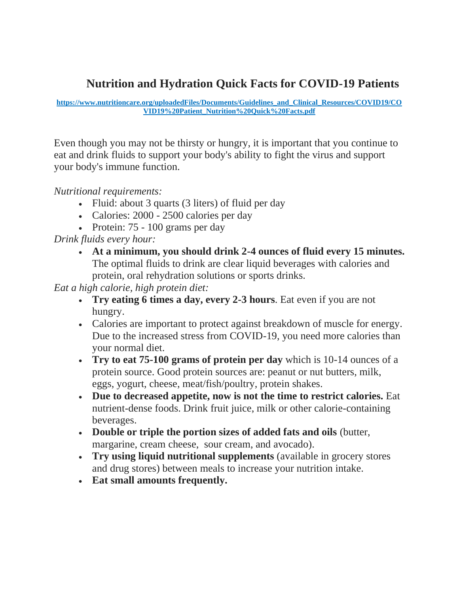## **Nutrition and Hydration Quick Facts for COVID-19 Patients**

## **https://www.nutritioncare.org/uploadedFiles/Documents/Guidelines\_and\_Clinical\_Resources/COVID19/CO VID19%20Patient\_Nutrition%20Quick%20Facts.pdf**

Even though you may not be thirsty or hungry, it is important that you continue to eat and drink fluids to support your body's ability to fight the virus and support your body's immune function.

*Nutritional requirements:*

- Fluid: about 3 quarts (3 liters) of fluid per day
- Calories: 2000 2500 calories per day
- Protein: 75 100 grams per day

*Drink fluids every hour:*

• **At a minimum, you should drink 2-4 ounces of fluid every 15 minutes.** The optimal fluids to drink are clear liquid beverages with calories and protein, oral rehydration solutions or sports drinks.

*Eat a high calorie, high protein diet:*

- **Try eating 6 times a day, every 2-3 hours**. Eat even if you are not hungry.
- Calories are important to protect against breakdown of muscle for energy. Due to the increased stress from COVID-19, you need more calories than your normal diet.
- **Try to eat 75-100 grams of protein per day** which is 10-14 ounces of a protein source. Good protein sources are: peanut or nut butters, milk, eggs, yogurt, cheese, meat/fish/poultry, protein shakes.
- **Due to decreased appetite, now is not the time to restrict calories.** Eat nutrient-dense foods. Drink fruit juice, milk or other calorie-containing beverages.
- **Double or triple the portion sizes of added fats and oils** (butter, margarine, cream cheese, sour cream, and avocado).
- **Try using liquid nutritional supplements** (available in grocery stores and drug stores) between meals to increase your nutrition intake.
- **Eat small amounts frequently.**